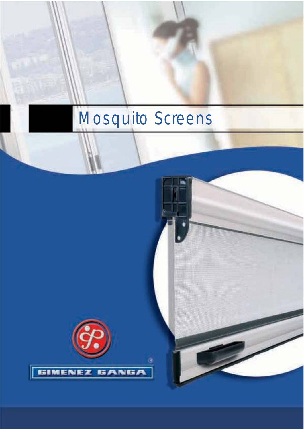# Mosquito Screens

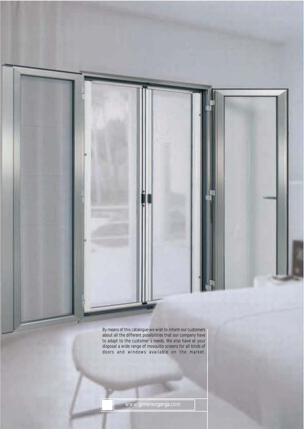By means of this catalogue we wish to inform our customers about all the different possibilities that our company have to adapt to the customer´s needs. We also have at your disposal a wide range of mosquito screens for all kinds of doors and windows available on the market.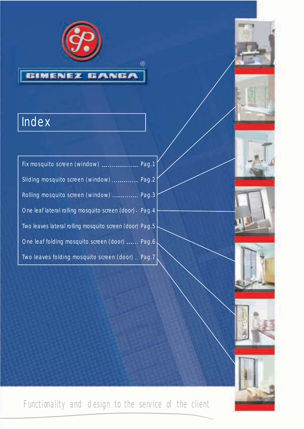

œ

# **Index**

| Fix mosquito screen (window)  Pag.1                     |  |
|---------------------------------------------------------|--|
| Sliding mosquito screen (window)  Pag.2                 |  |
| Rolling mosquito screen (window)  Pag.3                 |  |
| One leaf lateral rolling mosquito screen (door) - Pag.4 |  |
| Two leaves lateral rolling mosquito screen (door) Pag.5 |  |
| One leaf folding mosquito screen (door)  Pag.6          |  |
| Two leaves folding mosquito screen (door) Pag.7         |  |

Functionality and design to the service of the client









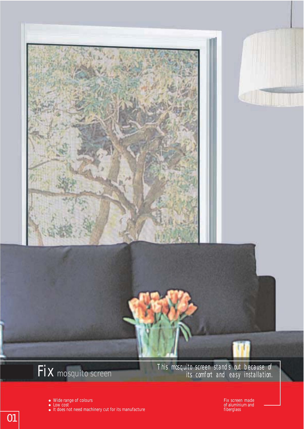

- Wide range of colours
- Low cost It does not need machinery cut for its manufacture

Fix screen made of aluminium and fiberglass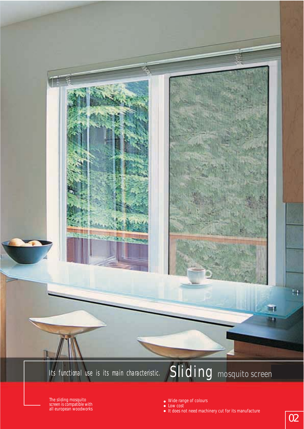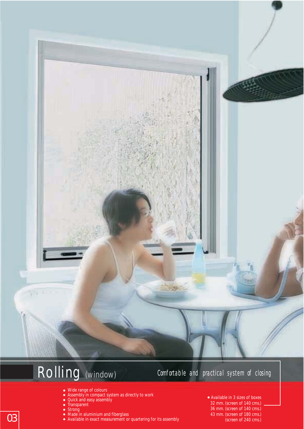

# Rolling *(window)*

#### Comfortable and practical system of closing

- Wide range of colours
- Assembly in compact system as directly to work
- Quick and easy assembly
- **Transparent**
- $\bullet$ Strong
- Made in aluminium and fiberglass
- $\bigcirc$  Made in aluminium and fiberglass<br>• Available in exact measurement or quartering for its assembly (screen of 240 cms.) Available in exact measurement or quartering for its assembly
- Available in 3 sizes of boxes 32 mm. (screen of 140 cms.) 36 mm. (screen of 140 cms.)<br>43 mm. (screen of 180 cms.)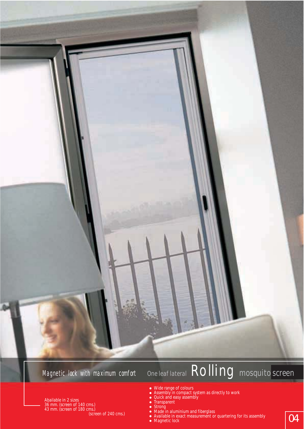

#### Magnetic lock with maximum comfort

Abailable in 2 sizes 36 mm. (screen of 140 cms.)

# *One leaf lateral* Rolling *mosquito screen*

- Wide range of colours
- $\bullet$ Assembly in compact system as directly to work
- $\bullet$ Quick and easy assembly
- $\bullet$ **Transparent**
- $\bullet$ Strong

43 mm. (screen of 180 cms.)

- (screen of 240 cms.)<br>• Available in exact measurement or quartering for its assembly<br>• Magnetic lock Made in aluminium and fiberglass Available in exact measurement or quartering for its assembly
	- Magnetic lock
		-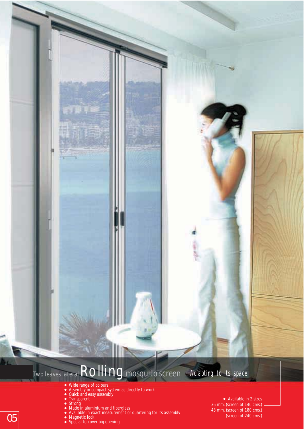*Two leaves lateral*Rolling *mosquito screen* Adapting to its space

- Wide range of colours
- $\bullet$ Assembly in compact system as directly to work
- $\bullet$ Quick and easy assembly
- **Transparent**
- Strong
- Made in aluminium and fiberglass
- Available in exact measurement or quartering for its assembly
- Magnetic lock
- Special to cover big opening

Available in 2 sizes 36 mm. (screen of 140 cms.) 43 mm. (screen of 180 cms.) (screen of 240 cms.)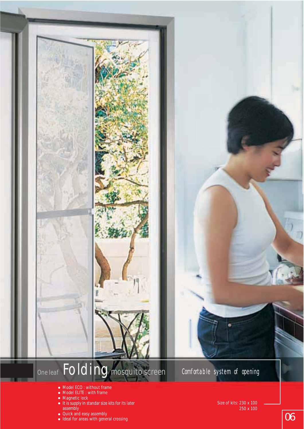

- Model ECO : without frame
- Model ELITE : with frame
- Magnetic lock
- It is supply in standar size kits for its later assembly
- Quick and easy assembly
- Ideal for areas with general crossing

Size of kits: 230 x 100 250 x 100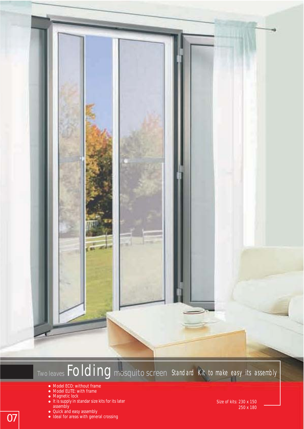#### *Two leaves*Folding*mosquito screen* Standard Kit to make easy its assembly

- Model ECO: without frame
- Model ELITE: with frame
- Magnetic lock
- It is supply in standar size kits for its later assembly
- Quick and easy assembly
- Ideal for areas with general crossing

Size of kits: 230 x 150 250 x 180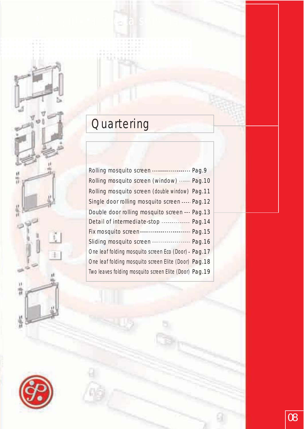# **Quartering**

Mosquitera Pu**erta sencill**a

| Rolling mosquito screen (window)  Pag.10                      |  |
|---------------------------------------------------------------|--|
| Rolling mosquito screen (double window) Pag.11                |  |
| Single door rolling mosquito screen  Pag.12                   |  |
| Double door rolling mosquito screen  Pag.13                   |  |
| Detail of intermediate-stop  Pag.14                           |  |
| Fix mosquito screen • • • • • • • • • • • • • • • • • Pag. 15 |  |
|                                                               |  |
| One leaf folding mosquito screen Eco (Door) - Pag. 17         |  |
| One leaf folding mosquito screen Elite (Door) Pag. 18         |  |
| Two leaves folding mosquito screen Elite (Door) Pag. 19       |  |
|                                                               |  |



4

出来社

 $\frac{1}{48}$ 

 $\frac{1}{2} \psi$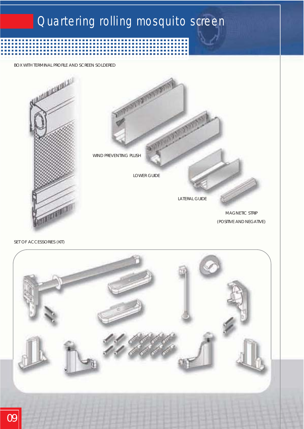### Quartering rolling mosquito screen

----------------------------

*BOX WITH TERMINAL PROFILE AND SCREEN SOLDERED*



*SET OF ACCESSORIES (KIT)*

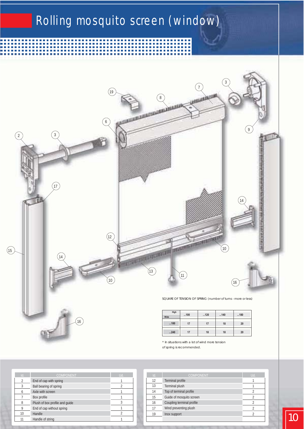# Rolling mosquito screen (window)

----------

 $\Box$ 

n n

........

**EN DE LA** 



| THUY |    |    |  |
|------|----|----|--|
| 180  | 17 | 18 |  |
| 240  |    | 18 |  |

*\* In situations with a lot of wind more tension*

*of spring is recommended.*

| Td.          | <b>COMPONENT</b>               | Ud.            | $\mathbf{Id}$ . |                     |
|--------------|--------------------------------|----------------|-----------------|---------------------|
| $\mathbf{2}$ | End of cap with spring         |                | 12              | <b>Terminal</b> pro |
|              | <b>Ball bearing of spring</b>  |                | 13              | <b>Terminal</b> plu |
| 6            | Axle with screen               |                | 14              | Top of termi        |
|              | Box profile                    |                | 15              | Guide of mo         |
|              | Plush of box profile and guide | 3              | 16              | Coupling ter        |
| 9            | End of cap without spring      |                | 17              | Wind prever         |
| 10           | Handle                         | $\overline{c}$ | 19              | Inox support        |
| 11           | Handle of string               |                |                 |                     |

| Id. | <b>COMPONENT</b>          | Ud. |
|-----|---------------------------|-----|
| 12  | <b>Terminal profile</b>   |     |
| 13  | <b>Terminal plush</b>     |     |
| 14  | Top of terminal profile   |     |
| 15  | Guide of mosquito screen  | 2   |
| 16  | Coupling terminal profile | 2   |
| 17  | Wind preventing plush     | 2   |
| 19  | Inox support              |     |
|     |                           |     |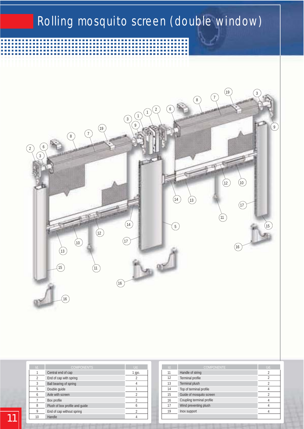### Rolling mosquito screen (double window)



| ٦ħ. | <b>COMPONENTS</b>              | Ud.      | $\mathbf{Id}$ |
|-----|--------------------------------|----------|---------------|
|     | Central end of cap             | $1$ jgo. | 11            |
|     | End of cap with spring         |          | 12            |
| 3   | <b>Ball bearing of spring</b>  |          | 13            |
| 5   | Double guide                   |          | 14            |
|     | Axle with screen               |          | 15            |
|     | Box profile                    |          | 16            |
|     | Plush of box profile and guide |          | 17            |
|     | End of cap without spring      |          | 19            |
| 10  | Handle                         |          |               |

| Id. | <b>COMPONENTE</b>         | Ud.              |
|-----|---------------------------|------------------|
| 11  | Handle of string          | 2                |
| 12  | <b>Terminal profile</b>   | $\boldsymbol{2}$ |
| 13  | <b>Terminal plush</b>     | $\overline{2}$   |
| 14  | Top of terminal profile   |                  |
| 15  | Guide of mosquito screen  | 2                |
| 16  | Coupling terminal profile |                  |
| 17  | Wind preventing plush     |                  |
| 19  | <b>Inox support</b>       |                  |
|     |                           |                  |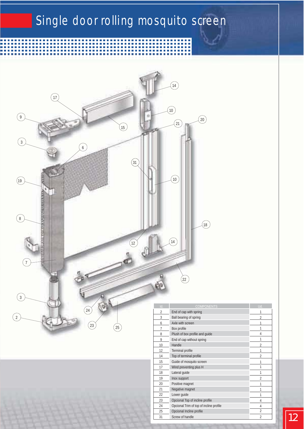# Single door rolling mosquito screen



| $\overline{\text{Id}}$ . | <b>COMPONENTS</b>                       | Ud             |
|--------------------------|-----------------------------------------|----------------|
| $\overline{c}$           | End of cap with spring                  | 1              |
| 3                        | <b>Ball bearing of spring</b>           | $\overline{2}$ |
| 6                        | Axle with screen                        | 1              |
| 7                        | <b>Box</b> profile                      | 1              |
| 8                        | Plush of box profile and guide          | 4              |
| 9                        | End of cap without spring               | 1              |
| 10                       | Handle                                  | $\overline{2}$ |
| 12                       | <b>Terminal profile</b>                 | 1              |
| 14                       | Top of terminal profile                 | $\overline{2}$ |
| 15                       | Guide of mosquito screen                | 1              |
| 17                       | Wind preventing plus H                  | 1              |
| 18                       | Lateral guide                           | 1              |
| 19                       | <b>Inox support</b>                     | $\overline{2}$ |
| 20                       | <b>Positive magnet</b>                  | 1              |
| 21                       | Negative magnet                         | $\mathbf{1}$   |
| 22                       | Lower guide                             | 1              |
| 23                       | Opcional Top of incline profile         | 4              |
| 24                       | Opcional Trim of top of incline profile | 4              |
| 25                       | <b>Opcional Incline profile</b>         | $\overline{2}$ |
| 31                       | Screw of handle                         | $\overline{2}$ |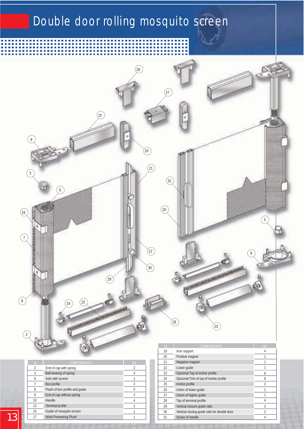#### Double door rolling mosquito screen



31 4 Screw of handle

. . . .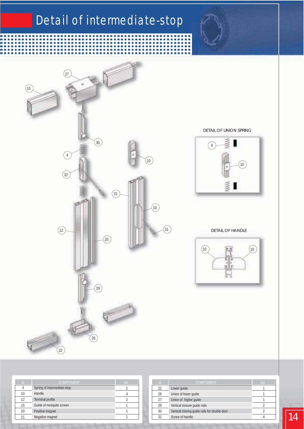## Detail of intermediate-stop

É Ė É Ĺ Ė

Ì. Ì. П Ì.

L Ľ

'n Ħ H Ė ÷ ÷ Ħ



*DETAIL OF UNION SPRING*

 $\blacksquare$ 



*DETAIL OF HANDLE*



| Id. | <b>COMPONENT</b>            | Ud. |
|-----|-----------------------------|-----|
|     | Spring of intermediate-stop |     |
| 10  | Handle                      |     |
| 12  | <b>Terminal profile</b>     |     |
| 15  | Guide of mosquito screen    |     |
| 20  | <b>Positive magnet</b>      |     |
| 21  | Negative magnet             |     |

| <b>COMPONENT</b>            | Ud. |    | <b>COMPONENT</b>                             | Uđ |
|-----------------------------|-----|----|----------------------------------------------|----|
| Spring of intermediate-stop |     | 22 | Lower guide                                  |    |
| Handle                      |     | 26 | Union of lower guide                         |    |
| <b>Terminal profile</b>     |     | 27 | Union of higher guide                        |    |
| Guide of mosquito screen    |     | 29 | Vertical closure guide rails                 |    |
| Positive magnet             |     | 30 | Vertical closing guide rails for double door |    |
| Negative magnet             |     | 31 | Screw of handle                              |    |
|                             |     |    |                                              |    |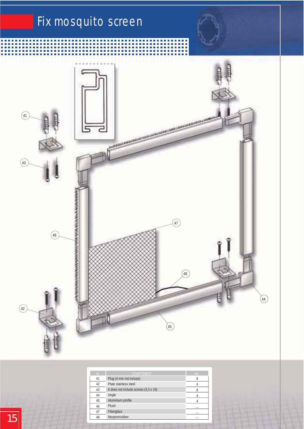# Fix mosquito screen



| Id. | <b>COMPONENT</b>                             | Ud.      |
|-----|----------------------------------------------|----------|
| 41  | Plug (4 mm not incluye)                      | 8        |
| 42  | Plate stainless steel                        |          |
| 43  | It does not include screws $(3.3 \times 19)$ |          |
| 44  | Angle                                        |          |
| 45  | Aluminium profile                            |          |
| 46  | <b>Plush</b>                                 | $\cdots$ |
| 47  | <b>Fiberglass</b>                            | $\cdots$ |
| 48  | Neoprenrubber                                | $\cdots$ |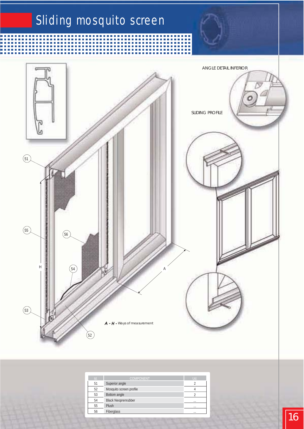

| Id. | <b>COMPONENT</b>           | Ud.      |
|-----|----------------------------|----------|
| 51  | Superior angle             | 2        |
| 52  | Mosquito screen profile    |          |
| 53  | <b>Bottom</b> angle        |          |
| 54  | <b>Black Neoprenrubber</b> | $\cdots$ |
| 55  | <b>Plush</b>               |          |
| 56  | <b>Fiberglass</b>          |          |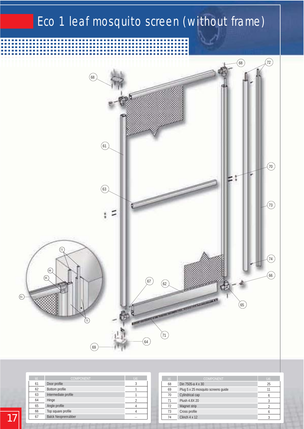## Eco 1 leaf mosquito screen (without frame)



| Id. | <b>COMPONENT</b>           | Ud.      |
|-----|----------------------------|----------|
| 61  | Door profile               | 3        |
| 62  | Bottom profile             |          |
| 63  | Intermediate profile       |          |
| 64  | Hinge                      |          |
| 65  | Angle profile              |          |
| 66  | Top square profile         |          |
| 67  | <b>Balck Neoprenrubber</b> | $\cdots$ |

| $\mathbf{Id}$ . | <b>COMPONENT</b>                   | Ud. |
|-----------------|------------------------------------|-----|
| 68              | Din $7505-a4x30$                   | 25  |
| 69              | Plug 5 x 25 mosquito screens guide | 11  |
| 70              | Cylindrical cap                    |     |
| 71              | <b>Plush 4.8X 20</b>               |     |
| 72              | <b>Magnet strip</b>                |     |
| 73              | Cross profile                      |     |
| 74              | Clinch $4 \times 12$               |     |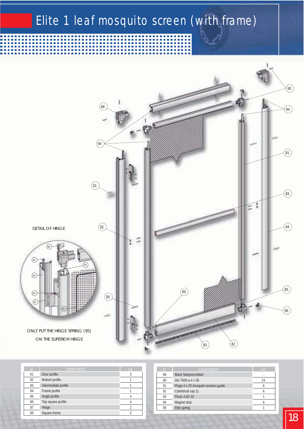#### Elite 1 leaf mosquito screen (with frame)



| $\mathbf{Id}$ . | <b>COMPONENT</b>      | Ud. |
|-----------------|-----------------------|-----|
| 81              | Door profile          | 3   |
| 82              | <b>Bottom</b> profile |     |
| 83              | Intermediate profile  |     |
| 84              | Frame profile         |     |
| 85              | Angle profile         |     |
| 86              | Top square profile    |     |
| 87              | Hinge                 | 2   |
| 88              | Square frame          |     |

| <b>COMPONENT</b>                    | Ud. |
|-------------------------------------|-----|
| <b>Black Neoprenrubber</b>          |     |
| Din 7505-a 4 x 30                   | 24  |
| Plugs 4 x 25 mosquito screens guide | 6   |
| Cylindrical cap 11                  |     |
| <b>Plush 4.8X 20</b>                |     |
| <b>Magnet strip</b>                 |     |
| Elite spring                        |     |
|                                     |     |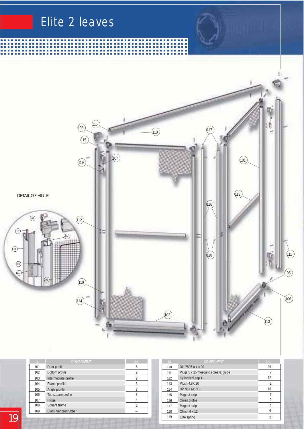

|     | <b>COMPONENT</b>           | Ūď       | $\sim$ | <b>COMPONENT</b>                    | Ud |
|-----|----------------------------|----------|--------|-------------------------------------|----|
| 101 | Door profile               | 6        | 110    | Din 7505-a 4 x 30                   | 39 |
| 102 | Bottom profile             |          | 111    | Plugs 5 x 25 mosquito screens guide |    |
| 103 | Intermediate profile       | $\Omega$ | 112    | <b>Cylindrical Top 11</b>           | 12 |
| 104 | Frame profile              |          | 113    | <b>Plush 4.8X 20</b>                |    |
| 105 | Angle profile              |          | 114    | Din 914 M5 x 8                      | 16 |
| 106 | Top square profile         | 8        | 115    | <b>Magnet strip</b>                 |    |
| 107 | Hinge                      |          | 116    | Cross profile                       |    |
| 108 | Square frame               | $\Omega$ | 117    | <b>Magnet strip</b>                 |    |
| 109 | <b>Black Neoprenrubber</b> |          | 118    | Clinch $4 \times 12$                |    |
|     |                            |          |        |                                     |    |

| Id. | <b>COMPONENT</b>                    | Ud.              |
|-----|-------------------------------------|------------------|
| 110 | Din 7505-a 4 x 30                   | 39               |
| 111 | Plugs 5 x 25 mosquito screens guide | 7                |
| 112 | <b>Cylindrical Top 11</b>           | 12               |
| 113 | <b>Plush 4.8X 20</b>                | $\boldsymbol{2}$ |
| 114 | Din 914 M5 x 8                      | 16               |
| 115 | <b>Magnet strip</b>                 | 7                |
| 116 | Cross profile                       | $\boldsymbol{2}$ |
| 117 | <b>Magnet strip</b>                 | $\boldsymbol{2}$ |
| 118 | Clinch $4 \times 12$                | 6                |
| 119 | Elite spring                        | $\boldsymbol{2}$ |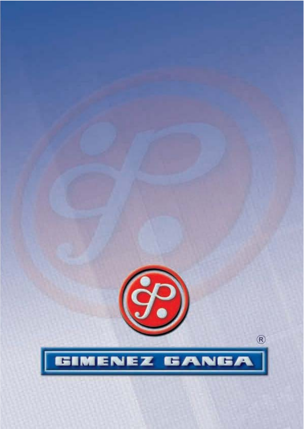